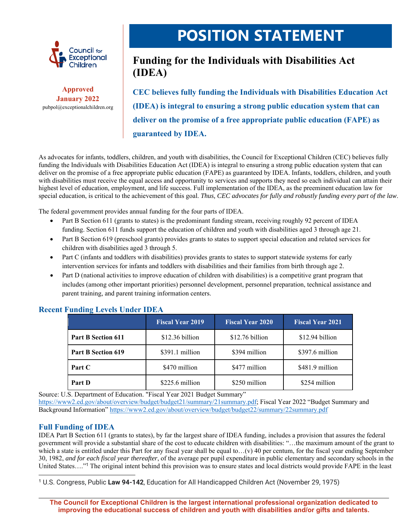

**Approved January 2022**  pubpol@exceptionalchildren.org

# **POSITION STATEMENT**

## **Funding for the Individuals with Disabilities Act (IDEA)**

**CEC believes fully funding the Individuals with Disabilities Education Act (IDEA) is integral to ensuring a strong public education system that can deliver on the promise of a free appropriate public education (FAPE) as guaranteed by IDEA.** 

As advocates for infants, toddlers, children, and youth with disabilities, the Council for Exceptional Children (CEC) believes fully funding the Individuals with Disabilities Education Act (IDEA) is integral to ensuring a strong public education system that can deliver on the promise of a free appropriate public education (FAPE) as guaranteed by IDEA. Infants, toddlers, children, and youth with disabilities must receive the equal access and opportunity to services and supports they need so each individual can attain their highest level of education, employment, and life success. Full implementation of the IDEA, as the preeminent education law for special education, is critical to the achievement of this goal. *Thus, CEC advocates for fully and robustly funding every part of the law*.

The federal government provides annual funding for the four parts of IDEA.

- Part B Section 611 (grants to states) is the predominant funding stream, receiving roughly 92 percent of IDEA funding. Section 611 funds support the education of children and youth with disabilities aged 3 through age 21.
- Part B Section 619 (preschool grants) provides grants to states to support special education and related services for children with disabilities aged 3 through 5.
- Part C (infants and toddlers with disabilities) provides grants to states to support statewide systems for early intervention services for infants and toddlers with disabilities and their families from birth through age 2.
- Part D (national activities to improve education of children with disabilities) is a competitive grant program that includes (among other important priorities) personnel development, personnel preparation, technical assistance and parent training, and parent training information centers.

|                           | <b>Fiscal Year 2019</b> | <b>Fiscal Year 2020</b> | <b>Fiscal Year 2021</b> |
|---------------------------|-------------------------|-------------------------|-------------------------|
| <b>Part B Section 611</b> | \$12.36 billion         | \$12.76 billion         | \$12.94 billion         |
| <b>Part B Section 619</b> | \$391.1 million         | \$394 million           | \$397.6 million         |
| Part C                    | \$470 million           | \$477 million           | \$481.9 million         |
| Part D                    | $$225.6$ million        | \$250 million           | \$254 million           |

### **Recent Funding Levels Under IDEA**

Source: U.S. Department of Education. "Fiscal Year 2021 Budget Summary" https://www2.ed.gov/about/overview/budget/budget21/summary/21summary.pdf; Fiscal Year 2022 "Budget Summary and Background Information" https://www2.ed.gov/about/overview/budget/budget22/summary/22summary.pdf

### **Full Funding of IDEA**

IDEA Part B Section 611 (grants to states), by far the largest share of IDEA funding, includes a provision that assures the federal government will provide a substantial share of the cost to educate children with disabilities: "…the maximum amount of the grant to which a state is entitled under this Part for any fiscal year shall be equal to...(v) 40 per centum, for the fiscal year ending September 30, 1982, *and for each fiscal year thereafter*, of the average per pupil expenditure in public elementary and secondary schools in the United States…."<sup>1</sup> The original intent behind this provision was to ensure states and local districts would provide FAPE in the least

<sup>1</sup> U.S. Congress, Public **Law 94-142**, Education for All Handicapped Children Act (November 29, 1975)